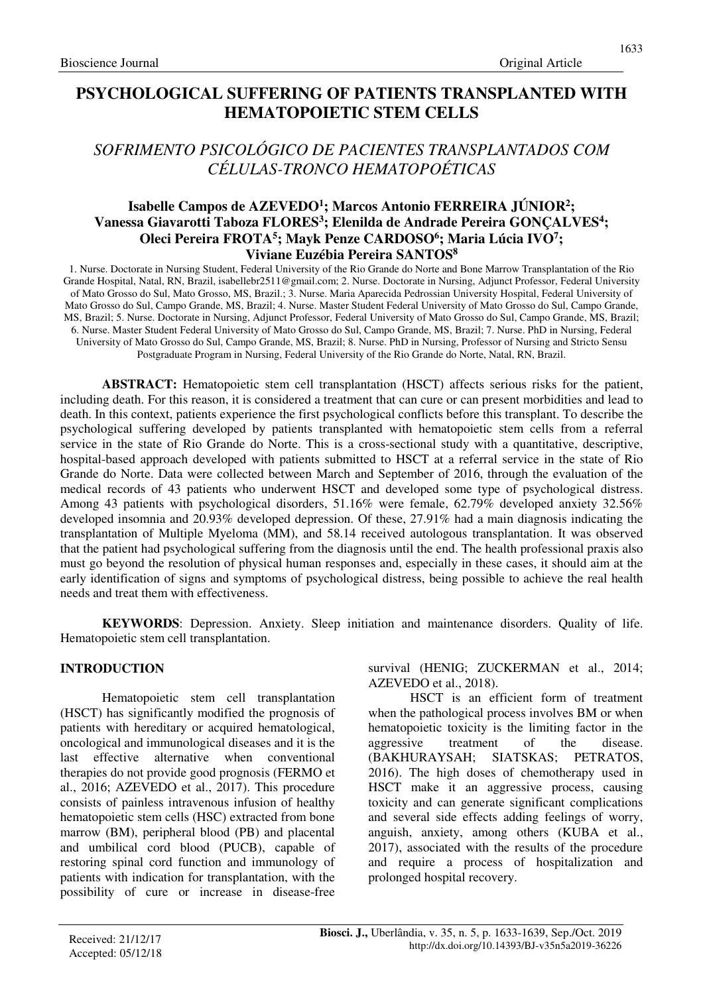# **PSYCHOLOGICAL SUFFERING OF PATIENTS TRANSPLANTED WITH HEMATOPOIETIC STEM CELLS**

# *SOFRIMENTO PSICOLÓGICO DE PACIENTES TRANSPLANTADOS COM CÉLULAS-TRONCO HEMATOPOÉTICAS*

## **Isabelle Campos de AZEVEDO<sup>1</sup> ; Marcos Antonio FERREIRA JÚNIOR<sup>2</sup> ; Vanessa Giavarotti Taboza FLORES<sup>3</sup> ; Elenilda de Andrade Pereira GONÇALVES<sup>4</sup> ; Oleci Pereira FROTA<sup>5</sup> ; Mayk Penze CARDOSO<sup>6</sup> ; Maria Lúcia IVO<sup>7</sup> ; Viviane Euzébia Pereira SANTOS<sup>8</sup>**

1. Nurse. Doctorate in Nursing Student, Federal University of the Rio Grande do Norte and Bone Marrow Transplantation of the Rio Grande Hospital, Natal, RN, Brazil, isabellebr2511@gmail.com; 2. Nurse. Doctorate in Nursing, Adjunct Professor, Federal University of Mato Grosso do Sul, Mato Grosso, MS, Brazil.; 3. Nurse. Maria Aparecida Pedrossian University Hospital, Federal University of Mato Grosso do Sul, Campo Grande, MS, Brazil; 4. Nurse. Master Student Federal University of Mato Grosso do Sul, Campo Grande, MS, Brazil; 5. Nurse. Doctorate in Nursing, Adjunct Professor, Federal University of Mato Grosso do Sul, Campo Grande, MS, Brazil; 6. Nurse. Master Student Federal University of Mato Grosso do Sul, Campo Grande, MS, Brazil; 7. Nurse. PhD in Nursing, Federal University of Mato Grosso do Sul, Campo Grande, MS, Brazil; 8. Nurse. PhD in Nursing, Professor of Nursing and Stricto Sensu Postgraduate Program in Nursing, Federal University of the Rio Grande do Norte, Natal, RN, Brazil.

**ABSTRACT:** Hematopoietic stem cell transplantation (HSCT) affects serious risks for the patient, including death. For this reason, it is considered a treatment that can cure or can present morbidities and lead to death. In this context, patients experience the first psychological conflicts before this transplant. To describe the psychological suffering developed by patients transplanted with hematopoietic stem cells from a referral service in the state of Rio Grande do Norte. This is a cross-sectional study with a quantitative, descriptive, hospital-based approach developed with patients submitted to HSCT at a referral service in the state of Rio Grande do Norte. Data were collected between March and September of 2016, through the evaluation of the medical records of 43 patients who underwent HSCT and developed some type of psychological distress. Among 43 patients with psychological disorders, 51.16% were female, 62.79% developed anxiety 32.56% developed insomnia and 20.93% developed depression. Of these, 27.91% had a main diagnosis indicating the transplantation of Multiple Myeloma (MM), and 58.14 received autologous transplantation. It was observed that the patient had psychological suffering from the diagnosis until the end. The health professional praxis also must go beyond the resolution of physical human responses and, especially in these cases, it should aim at the early identification of signs and symptoms of psychological distress, being possible to achieve the real health needs and treat them with effectiveness.

**KEYWORDS**: Depression. Anxiety. Sleep initiation and maintenance disorders. Quality of life. Hematopoietic stem cell transplantation.

### **INTRODUCTION**

Hematopoietic stem cell transplantation (HSCT) has significantly modified the prognosis of patients with hereditary or acquired hematological, oncological and immunological diseases and it is the last effective alternative when conventional therapies do not provide good prognosis (FERMO et al., 2016; AZEVEDO et al., 2017). This procedure consists of painless intravenous infusion of healthy hematopoietic stem cells (HSC) extracted from bone marrow (BM), peripheral blood (PB) and placental and umbilical cord blood (PUCB), capable of restoring spinal cord function and immunology of patients with indication for transplantation, with the possibility of cure or increase in disease-free survival (HENIG; ZUCKERMAN et al., 2014; AZEVEDO et al., 2018).

HSCT is an efficient form of treatment when the pathological process involves BM or when hematopoietic toxicity is the limiting factor in the aggressive treatment of the disease. (BAKHURAYSAH; SIATSKAS; PETRATOS, 2016). The high doses of chemotherapy used in HSCT make it an aggressive process, causing toxicity and can generate significant complications and several side effects adding feelings of worry, anguish, anxiety, among others (KUBA et al., 2017), associated with the results of the procedure and require a process of hospitalization and prolonged hospital recovery.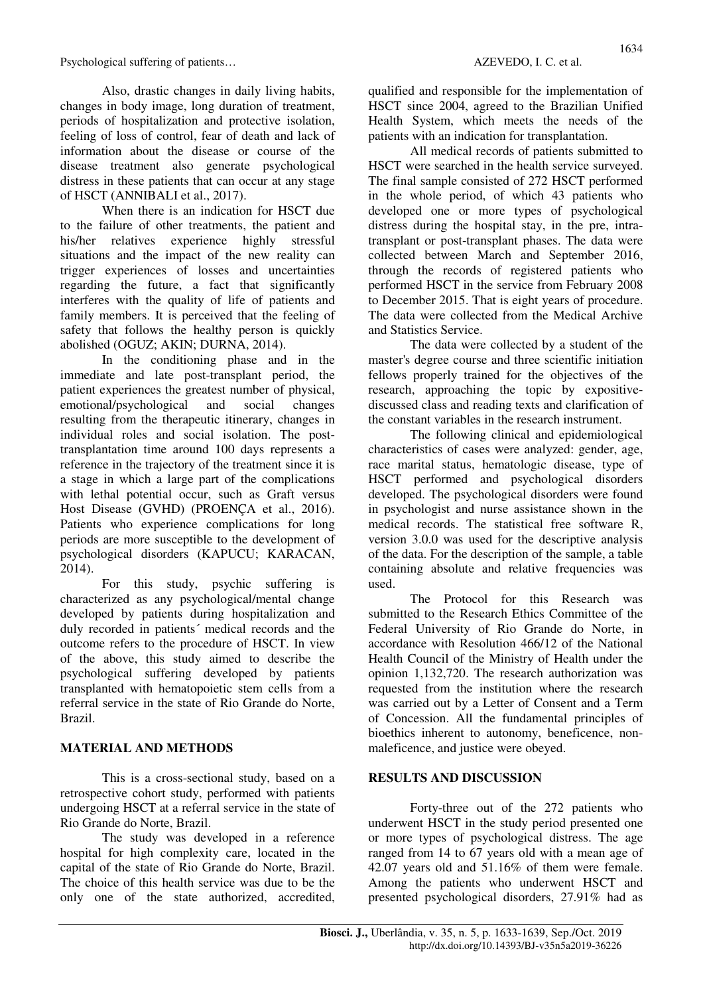Also, drastic changes in daily living habits, changes in body image, long duration of treatment, periods of hospitalization and protective isolation, feeling of loss of control, fear of death and lack of information about the disease or course of the disease treatment also generate psychological distress in these patients that can occur at any stage of HSCT (ANNIBALI et al., 2017).

When there is an indication for HSCT due to the failure of other treatments, the patient and his/her relatives experience highly stressful situations and the impact of the new reality can trigger experiences of losses and uncertainties regarding the future, a fact that significantly interferes with the quality of life of patients and family members. It is perceived that the feeling of safety that follows the healthy person is quickly abolished (OGUZ; AKIN; DURNA, 2014).

In the conditioning phase and in the immediate and late post-transplant period, the patient experiences the greatest number of physical, emotional/psychological and social changes resulting from the therapeutic itinerary, changes in individual roles and social isolation. The posttransplantation time around 100 days represents a reference in the trajectory of the treatment since it is a stage in which a large part of the complications with lethal potential occur, such as Graft versus Host Disease (GVHD) (PROENÇA et al., 2016). Patients who experience complications for long periods are more susceptible to the development of psychological disorders (KAPUCU; KARACAN, 2014).

For this study, psychic suffering is characterized as any psychological/mental change developed by patients during hospitalization and duly recorded in patients´ medical records and the outcome refers to the procedure of HSCT. In view of the above, this study aimed to describe the psychological suffering developed by patients transplanted with hematopoietic stem cells from a referral service in the state of Rio Grande do Norte, Brazil.

### **MATERIAL AND METHODS**

This is a cross-sectional study, based on a retrospective cohort study, performed with patients undergoing HSCT at a referral service in the state of Rio Grande do Norte, Brazil.

The study was developed in a reference hospital for high complexity care, located in the capital of the state of Rio Grande do Norte, Brazil. The choice of this health service was due to be the only one of the state authorized, accredited, 1634

qualified and responsible for the implementation of HSCT since 2004, agreed to the Brazilian Unified Health System, which meets the needs of the patients with an indication for transplantation.

All medical records of patients submitted to HSCT were searched in the health service surveyed. The final sample consisted of 272 HSCT performed in the whole period, of which 43 patients who developed one or more types of psychological distress during the hospital stay, in the pre, intratransplant or post-transplant phases. The data were collected between March and September 2016, through the records of registered patients who performed HSCT in the service from February 2008 to December 2015. That is eight years of procedure. The data were collected from the Medical Archive and Statistics Service.

The data were collected by a student of the master's degree course and three scientific initiation fellows properly trained for the objectives of the research, approaching the topic by expositivediscussed class and reading texts and clarification of the constant variables in the research instrument.

The following clinical and epidemiological characteristics of cases were analyzed: gender, age, race marital status, hematologic disease, type of HSCT performed and psychological disorders developed. The psychological disorders were found in psychologist and nurse assistance shown in the medical records. The statistical free software R, version 3.0.0 was used for the descriptive analysis of the data. For the description of the sample, a table containing absolute and relative frequencies was used.

The Protocol for this Research was submitted to the Research Ethics Committee of the Federal University of Rio Grande do Norte, in accordance with Resolution 466/12 of the National Health Council of the Ministry of Health under the opinion 1,132,720. The research authorization was requested from the institution where the research was carried out by a Letter of Consent and a Term of Concession. All the fundamental principles of bioethics inherent to autonomy, beneficence, nonmaleficence, and justice were obeyed.

### **RESULTS AND DISCUSSION**

Forty-three out of the 272 patients who underwent HSCT in the study period presented one or more types of psychological distress. The age ranged from 14 to 67 years old with a mean age of 42.07 years old and 51.16% of them were female. Among the patients who underwent HSCT and presented psychological disorders, 27.91% had as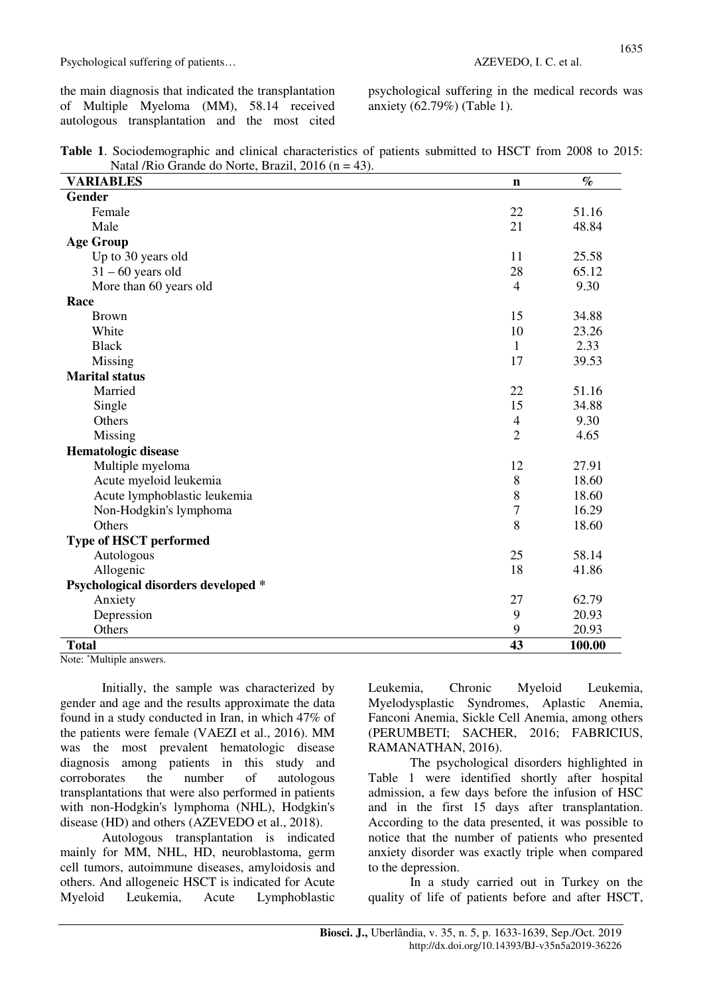the main diagnosis that indicated the transplantation of Multiple Myeloma (MM), 58.14 received autologous transplantation and the most cited psychological suffering in the medical records was anxiety (62.79%) (Table 1).

| Natal /Rio Grande do Norte, Brazil, 2016 ( $n = 43$ ). | <b>Table 1.</b> Sociodemographic and clinical characteristics of patients submitted to HSCT from 2008 to 2015: |  |  |  |  |
|--------------------------------------------------------|----------------------------------------------------------------------------------------------------------------|--|--|--|--|
|                                                        |                                                                                                                |  |  |  |  |

| <b>VARIABLES</b>                                  | $\mathbf n$    | $\%$   |  |  |
|---------------------------------------------------|----------------|--------|--|--|
| <b>Gender</b>                                     |                |        |  |  |
| Female                                            | 22             | 51.16  |  |  |
| Male                                              | 21             | 48.84  |  |  |
| <b>Age Group</b>                                  |                |        |  |  |
| Up to 30 years old                                | 11             | 25.58  |  |  |
| $31 - 60$ years old                               | 28             | 65.12  |  |  |
| More than 60 years old                            | $\overline{4}$ | 9.30   |  |  |
| Race                                              |                |        |  |  |
| <b>Brown</b>                                      | 15             | 34.88  |  |  |
| White                                             | 10             | 23.26  |  |  |
| <b>Black</b>                                      | $\mathbf{1}$   | 2.33   |  |  |
| Missing                                           | 17             | 39.53  |  |  |
| <b>Marital status</b>                             |                |        |  |  |
| Married                                           | 22             | 51.16  |  |  |
| Single                                            | 15             | 34.88  |  |  |
| Others                                            | $\overline{4}$ | 9.30   |  |  |
| Missing                                           | $\overline{2}$ | 4.65   |  |  |
| Hematologic disease                               |                |        |  |  |
| Multiple myeloma                                  | 12             | 27.91  |  |  |
| Acute myeloid leukemia                            | $\,8\,$        | 18.60  |  |  |
| Acute lymphoblastic leukemia                      | 8              | 18.60  |  |  |
| Non-Hodgkin's lymphoma                            | $\overline{7}$ | 16.29  |  |  |
| Others                                            | 8              | 18.60  |  |  |
| <b>Type of HSCT performed</b>                     |                |        |  |  |
| Autologous                                        | 25             | 58.14  |  |  |
| Allogenic                                         | 18             | 41.86  |  |  |
| Psychological disorders developed *               |                |        |  |  |
| Anxiety                                           | 27             | 62.79  |  |  |
| Depression                                        | 9              | 20.93  |  |  |
| Others                                            | 9              | 20.93  |  |  |
| <b>Total</b><br>$\overline{a}$ and $\overline{a}$ | 43             | 100.00 |  |  |

Note: \*Multiple answers.

Initially, the sample was characterized by gender and age and the results approximate the data found in a study conducted in Iran, in which 47% of the patients were female (VAEZI et al., 2016). MM was the most prevalent hematologic disease diagnosis among patients in this study and corroborates the number of autologous transplantations that were also performed in patients with non-Hodgkin's lymphoma (NHL), Hodgkin's disease (HD) and others (AZEVEDO et al., 2018).

Autologous transplantation is indicated mainly for MM, NHL, HD, neuroblastoma, germ cell tumors, autoimmune diseases, amyloidosis and others. And allogeneic HSCT is indicated for Acute Myeloid Leukemia, Acute Lymphoblastic Leukemia, Chronic Myeloid Leukemia, Myelodysplastic Syndromes, Aplastic Anemia, Fanconi Anemia, Sickle Cell Anemia, among others (PERUMBETI; SACHER, 2016; FABRICIUS, RAMANATHAN, 2016).

The psychological disorders highlighted in Table 1 were identified shortly after hospital admission, a few days before the infusion of HSC and in the first 15 days after transplantation. According to the data presented, it was possible to notice that the number of patients who presented anxiety disorder was exactly triple when compared to the depression.

In a study carried out in Turkey on the quality of life of patients before and after HSCT,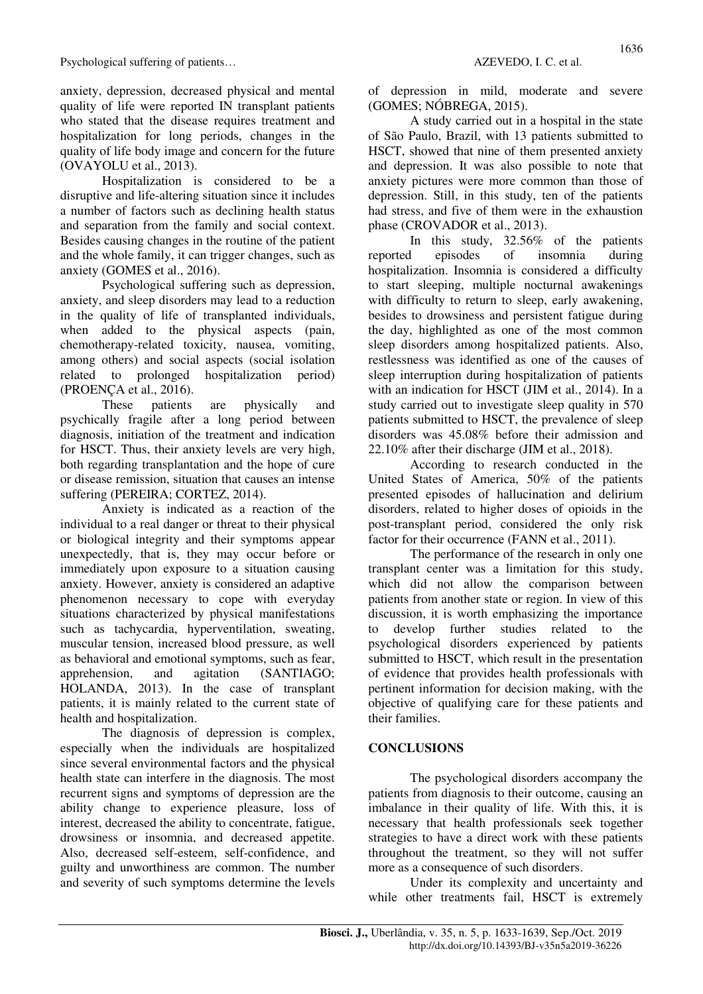anxiety, depression, decreased physical and mental quality of life were reported IN transplant patients who stated that the disease requires treatment and hospitalization for long periods, changes in the quality of life body image and concern for the future (OVAYOLU et al., 2013).

Hospitalization is considered to be a disruptive and life-altering situation since it includes a number of factors such as declining health status and separation from the family and social context. Besides causing changes in the routine of the patient and the whole family, it can trigger changes, such as anxiety (GOMES et al., 2016).

Psychological suffering such as depression, anxiety, and sleep disorders may lead to a reduction in the quality of life of transplanted individuals, when added to the physical aspects (pain, chemotherapy-related toxicity, nausea, vomiting, among others) and social aspects (social isolation related to prolonged hospitalization period) (PROENÇA et al., 2016).

These patients are physically and psychically fragile after a long period between diagnosis, initiation of the treatment and indication for HSCT. Thus, their anxiety levels are very high, both regarding transplantation and the hope of cure or disease remission, situation that causes an intense suffering (PEREIRA; CORTEZ, 2014).

Anxiety is indicated as a reaction of the individual to a real danger or threat to their physical or biological integrity and their symptoms appear unexpectedly, that is, they may occur before or immediately upon exposure to a situation causing anxiety. However, anxiety is considered an adaptive phenomenon necessary to cope with everyday situations characterized by physical manifestations such as tachycardia, hyperventilation, sweating, muscular tension, increased blood pressure, as well as behavioral and emotional symptoms, such as fear, apprehension, and agitation (SANTIAGO; HOLANDA, 2013). In the case of transplant patients, it is mainly related to the current state of health and hospitalization.

The diagnosis of depression is complex, especially when the individuals are hospitalized since several environmental factors and the physical health state can interfere in the diagnosis. The most recurrent signs and symptoms of depression are the ability change to experience pleasure, loss of interest, decreased the ability to concentrate, fatigue, drowsiness or insomnia, and decreased appetite. Also, decreased self-esteem, self-confidence, and guilty and unworthiness are common. The number and severity of such symptoms determine the levels

of depression in mild, moderate and severe (GOMES; NÓBREGA, 2015).

A study carried out in a hospital in the state of São Paulo, Brazil, with 13 patients submitted to HSCT, showed that nine of them presented anxiety and depression. It was also possible to note that anxiety pictures were more common than those of depression. Still, in this study, ten of the patients had stress, and five of them were in the exhaustion phase (CROVADOR et al., 2013).

In this study, 32.56% of the patients reported episodes of insomnia during hospitalization. Insomnia is considered a difficulty to start sleeping, multiple nocturnal awakenings with difficulty to return to sleep, early awakening, besides to drowsiness and persistent fatigue during the day, highlighted as one of the most common sleep disorders among hospitalized patients. Also, restlessness was identified as one of the causes of sleep interruption during hospitalization of patients with an indication for HSCT (JIM et al., 2014). In a study carried out to investigate sleep quality in 570 patients submitted to HSCT, the prevalence of sleep disorders was 45.08% before their admission and 22.10% after their discharge (JIM et al., 2018).

According to research conducted in the United States of America, 50% of the patients presented episodes of hallucination and delirium disorders, related to higher doses of opioids in the post-transplant period, considered the only risk factor for their occurrence (FANN et al., 2011).

The performance of the research in only one transplant center was a limitation for this study, which did not allow the comparison between patients from another state or region. In view of this discussion, it is worth emphasizing the importance to develop further studies related to the psychological disorders experienced by patients submitted to HSCT, which result in the presentation of evidence that provides health professionals with pertinent information for decision making, with the objective of qualifying care for these patients and their families.

### **CONCLUSIONS**

The psychological disorders accompany the patients from diagnosis to their outcome, causing an imbalance in their quality of life. With this, it is necessary that health professionals seek together strategies to have a direct work with these patients throughout the treatment, so they will not suffer more as a consequence of such disorders.

Under its complexity and uncertainty and while other treatments fail, HSCT is extremely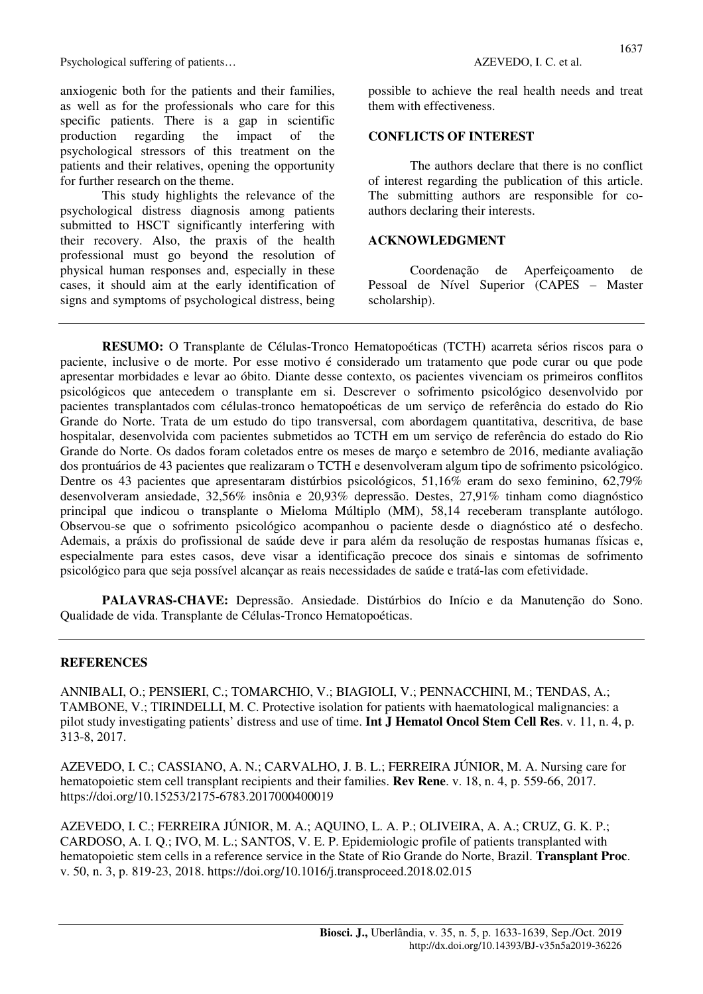anxiogenic both for the patients and their families, as well as for the professionals who care for this specific patients. There is a gap in scientific production regarding the impact of the psychological stressors of this treatment on the patients and their relatives, opening the opportunity for further research on the theme.

This study highlights the relevance of the psychological distress diagnosis among patients submitted to HSCT significantly interfering with their recovery. Also, the praxis of the health professional must go beyond the resolution of physical human responses and, especially in these cases, it should aim at the early identification of signs and symptoms of psychological distress, being

possible to achieve the real health needs and treat them with effectiveness.

### **CONFLICTS OF INTEREST**

The authors declare that there is no conflict of interest regarding the publication of this article. The submitting authors are responsible for coauthors declaring their interests.

#### **ACKNOWLEDGMENT**

Coordenação de Aperfeiçoamento de Pessoal de Nível Superior (CAPES – Master scholarship).

**RESUMO:** O Transplante de Células-Tronco Hematopoéticas (TCTH) acarreta sérios riscos para o paciente, inclusive o de morte. Por esse motivo é considerado um tratamento que pode curar ou que pode apresentar morbidades e levar ao óbito. Diante desse contexto, os pacientes vivenciam os primeiros conflitos psicológicos que antecedem o transplante em si. Descrever o sofrimento psicológico desenvolvido por pacientes transplantados com células-tronco hematopoéticas de um serviço de referência do estado do Rio Grande do Norte. Trata de um estudo do tipo transversal, com abordagem quantitativa, descritiva, de base hospitalar, desenvolvida com pacientes submetidos ao TCTH em um serviço de referência do estado do Rio Grande do Norte. Os dados foram coletados entre os meses de março e setembro de 2016, mediante avaliação dos prontuários de 43 pacientes que realizaram o TCTH e desenvolveram algum tipo de sofrimento psicológico. Dentre os 43 pacientes que apresentaram distúrbios psicológicos, 51,16% eram do sexo feminino, 62,79% desenvolveram ansiedade, 32,56% insônia e 20,93% depressão. Destes, 27,91% tinham como diagnóstico principal que indicou o transplante o Mieloma Múltiplo (MM), 58,14 receberam transplante autólogo. Observou-se que o sofrimento psicológico acompanhou o paciente desde o diagnóstico até o desfecho. Ademais, a práxis do profissional de saúde deve ir para além da resolução de respostas humanas físicas e, especialmente para estes casos, deve visar a identificação precoce dos sinais e sintomas de sofrimento psicológico para que seja possível alcançar as reais necessidades de saúde e tratá-las com efetividade.

**PALAVRAS-CHAVE:** Depressão. Ansiedade. Distúrbios do Início e da Manutenção do Sono. Qualidade de vida. Transplante de Células-Tronco Hematopoéticas.

### **REFERENCES**

ANNIBALI, O.; PENSIERI, C.; TOMARCHIO, V.; BIAGIOLI, V.; PENNACCHINI, M.; TENDAS, A.; TAMBONE, V.; TIRINDELLI, M. C. Protective isolation for patients with haematological malignancies: a pilot study investigating patients' distress and use of time. **Int J Hematol Oncol Stem Cell Res**. v. 11, n. 4, p. 313-8, 2017.

AZEVEDO, I. C.; CASSIANO, A. N.; CARVALHO, J. B. L.; FERREIRA JÚNIOR, M. A. Nursing care for hematopoietic stem cell transplant recipients and their families. **Rev Rene**. v. 18, n. 4, p. 559-66, 2017. https://doi.org/10.15253/2175-6783.2017000400019

AZEVEDO, I. C.; FERREIRA JÚNIOR, M. A.; AQUINO, L. A. P.; OLIVEIRA, A. A.; CRUZ, G. K. P.; CARDOSO, A. I. Q.; IVO, M. L.; SANTOS, V. E. P. Epidemiologic profile of patients transplanted with hematopoietic stem cells in a reference service in the State of Rio Grande do Norte, Brazil. **Transplant Proc**. v. 50, n. 3, p. 819-23, 2018. https://doi.org/10.1016/j.transproceed.2018.02.015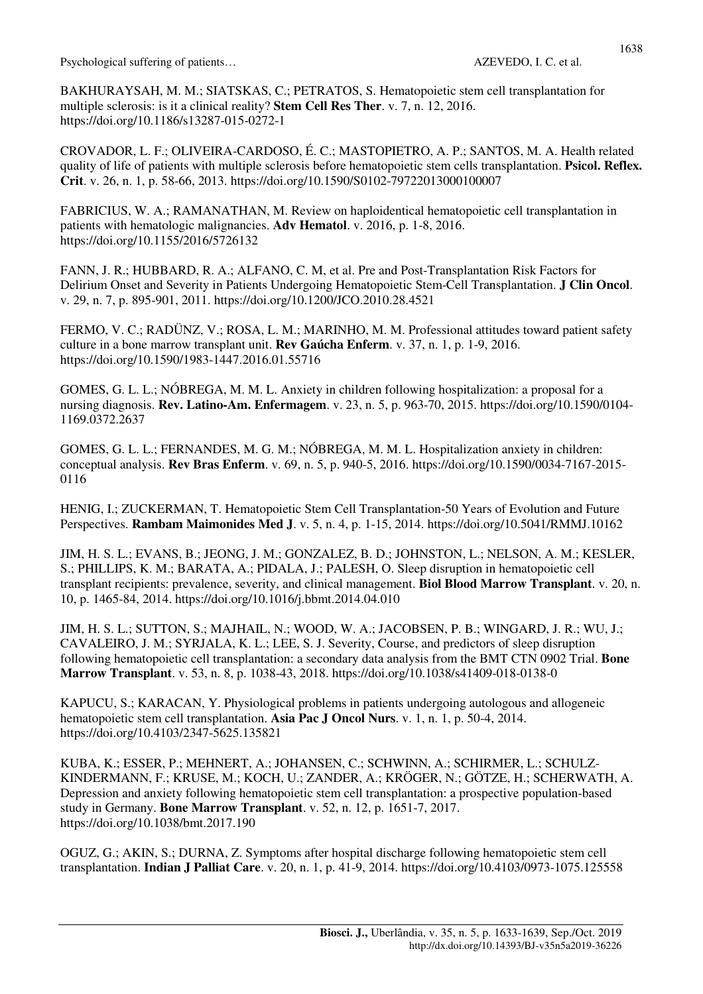BAKHURAYSAH, M. M.; SIATSKAS, C.; PETRATOS, S. Hematopoietic stem cell transplantation for multiple sclerosis: is it a clinical reality? **Stem Cell Res Ther**. v. 7, n. 12, 2016. https://doi.org/10.1186/s13287-015-0272-1

CROVADOR, L. F.; OLIVEIRA-CARDOSO, É. C.; MASTOPIETRO, A. P.; SANTOS, M. A. Health related quality of life of patients with multiple sclerosis before hematopoietic stem cells transplantation. **Psicol. Reflex. Crit**. v. 26, n. 1, p. 58-66, 2013. https://doi.org/10.1590/S0102-79722013000100007

FABRICIUS, W. A.; RAMANATHAN, M. Review on haploidentical hematopoietic cell transplantation in patients with hematologic malignancies. **Adv Hematol**. v. 2016, p. 1-8, 2016. https://doi.org/10.1155/2016/5726132

FANN, J. R.; HUBBARD, R. A.; ALFANO, C. M, et al. Pre and Post-Transplantation Risk Factors for Delirium Onset and Severity in Patients Undergoing Hematopoietic Stem-Cell Transplantation. **J Clin Oncol**. v. 29, n. 7, p. 895-901, 2011. https://doi.org/10.1200/JCO.2010.28.4521

FERMO, V. C.; RADÜNZ, V.; ROSA, L. M.; MARINHO, M. M. Professional attitudes toward patient safety culture in a bone marrow transplant unit. **Rev Gaúcha Enferm**. v. 37, n. 1, p. 1-9, 2016. https://doi.org/10.1590/1983-1447.2016.01.55716

GOMES, G. L. L.; NÓBREGA, M. M. L. Anxiety in children following hospitalization: a proposal for a nursing diagnosis. **Rev. Latino-Am. Enfermagem**. v. 23, n. 5, p. 963-70, 2015. https://doi.org/10.1590/0104- 1169.0372.2637

GOMES, G. L. L.; FERNANDES, M. G. M.; NÓBREGA, M. M. L. Hospitalization anxiety in children: conceptual analysis. **Rev Bras Enferm**. v. 69, n. 5, p. 940-5, 2016. https://doi.org/10.1590/0034-7167-2015- 0116

HENIG, I.; ZUCKERMAN, T. Hematopoietic Stem Cell Transplantation-50 Years of Evolution and Future Perspectives. **Rambam Maimonides Med J**. v. 5, n. 4, p. 1-15, 2014. https://doi.org/10.5041/RMMJ.10162

JIM, H. S. L.; EVANS, B.; JEONG, J. M.; GONZALEZ, B. D.; JOHNSTON, L.; NELSON, A. M.; KESLER, S.; PHILLIPS, K. M.; BARATA, A.; PIDALA, J.; PALESH, O. Sleep disruption in hematopoietic cell transplant recipients: prevalence, severity, and clinical management. **Biol Blood Marrow Transplant**. v. 20, n. 10, p. 1465-84, 2014. https://doi.org/10.1016/j.bbmt.2014.04.010

JIM, H. S. L.; SUTTON, S.; MAJHAIL, N.; WOOD, W. A.; JACOBSEN, P. B.; WINGARD, J. R.; WU, J.; CAVALEIRO, J. M.; SYRJALA, K. L.; LEE, S. J. Severity, Course, and predictors of sleep disruption following hematopoietic cell transplantation: a secondary data analysis from the BMT CTN 0902 Trial. **Bone Marrow Transplant**. v. 53, n. 8, p. 1038-43, 2018. https://doi.org/10.1038/s41409-018-0138-0

KAPUCU, S.; KARACAN, Y. Physiological problems in patients undergoing autologous and allogeneic hematopoietic stem cell transplantation. **Asia Pac J Oncol Nurs**. v. 1, n. 1, p. 50-4, 2014. https://doi.org/10.4103/2347-5625.135821

KUBA, K.; ESSER, P.; MEHNERT, A.; JOHANSEN, C.; SCHWINN, A.; SCHIRMER, L.; SCHULZ-KINDERMANN, F.; KRUSE, M.; KOCH, U.; ZANDER, A.; KRÖGER, N.; GÖTZE, H.; SCHERWATH, A. Depression and anxiety following hematopoietic stem cell transplantation: a prospective population-based study in Germany. **Bone Marrow Transplant**. v. 52, n. 12, p. 1651-7, 2017. https://doi.org/10.1038/bmt.2017.190

OGUZ, G.; AKIN, S.; DURNA, Z. Symptoms after hospital discharge following hematopoietic stem cell transplantation. **Indian J Palliat Care**. v. 20, n. 1, p. 41-9, 2014. https://doi.org/10.4103/0973-1075.125558